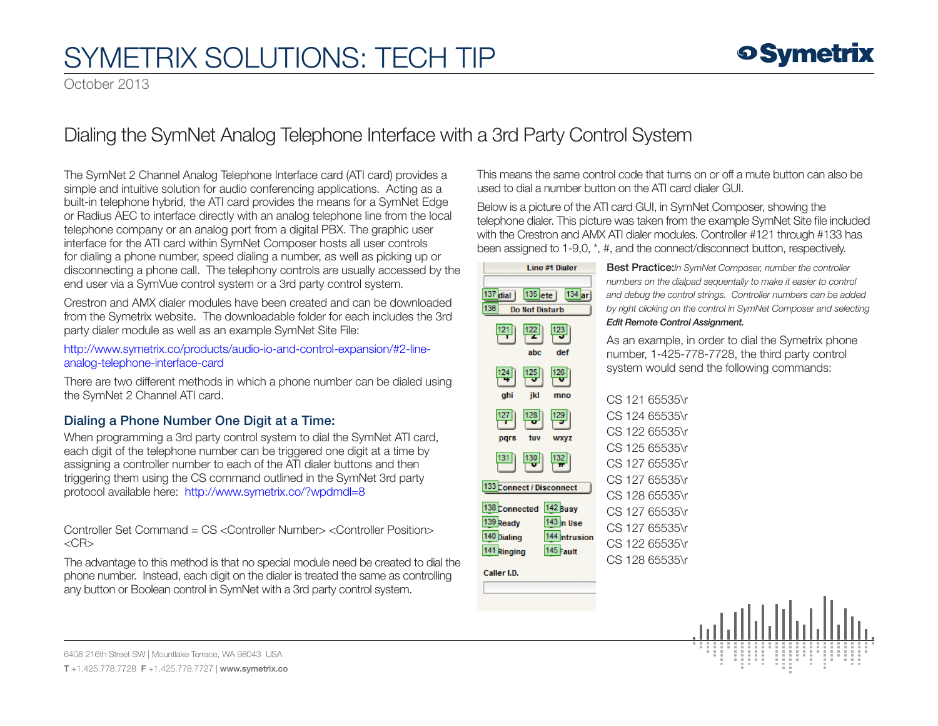October 2013

### Dialing the SymNet Analog Telephone Interface with a 3rd Party Control System

The SymNet 2 Channel Analog Telephone Interface card (ATI card) provides a simple and intuitive solution for audio conferencing applications. Acting as a built-in telephone hybrid, the ATI card provides the means for a SymNet Edge or Radius AEC to interface directly with an analog telephone line from the local telephone company or an analog port from a digital PBX. The graphic user interface for the ATI card within SymNet Composer hosts all user controls for dialing a phone number, speed dialing a number, as well as picking up or disconnecting a phone call. The telephony controls are usually accessed by the end user via a SymVue control system or a 3rd party control system.

Crestron and AMX dialer modules have been created and can be downloaded from the Symetrix website. The downloadable folder for each includes the 3rd party dialer module as well as an example SymNet Site File:

http://[www.symetrix.co/products/audio-io-and-control-expansion/#2-line](http://www.symetrix.co/products/audio-io-and-control-expansion/#2-line-analog-telephone-interface-card)[analog-telephone-interface-card](http://www.symetrix.co/products/audio-io-and-control-expansion/#2-line-analog-telephone-interface-card)

There are two different methods in which a phone number can be dialed using the SymNet 2 Channel ATI card.

### Dialing a Phone Number One Digit at a Time:

When programming a 3rd party control system to dial the SymNet ATI card, each digit of the telephone number can be triggered one digit at a time by assigning a controller number to each of the ATI dialer buttons and then triggering them using the CS command outlined in the SymNet 3rd party protocol available here: http://[www.symetrix.co/?wpdmdl=8](http://www.symetrix.co/?wpdmdl=8)

Controller Set Command = CS <Controller Number> <Controller Position>  $<$ CR $>$ 

The advantage to this method is that no special module need be created to dial the phone number. Instead, each digit on the dialer is treated the same as controlling any button or Boolean control in SymNet with a 3rd party control system.

This means the same control code that turns on or off a mute button can also be used to dial a number button on the ATI card dialer GUI.

Below is a picture of the ATI card GUI, in SymNet Composer, showing the telephone dialer. This picture was taken from the example SymNet Site file included with the Crestron and AMX ATI dialer modules. Controller #121 through #133 has been assigned to 1-9,0, \*, #, and the connect/disconnect button, respectively.

| Line #1 Dialer                                          | В                      |
|---------------------------------------------------------|------------------------|
| $134$ ar                                                | n                      |
| $137$ dial<br>$135$ ete<br>136<br><b>Do Not Disturb</b> | a<br>b                 |
|                                                         | Ε                      |
| 121<br>122<br>123                                       | А                      |
| abc<br>def                                              | n                      |
| 126<br>124<br>125                                       | S                      |
| ghi<br>jkl<br>mno                                       | C                      |
| 128<br>12                                               | $\subset$              |
|                                                         | $\mathsf{C}$           |
| tuv<br>pars<br><b>WXYZ</b>                              | C                      |
| 131<br>130<br>132                                       | $\overline{C}$         |
| 133 Connect / Disconnect                                | $\subset$              |
| 138 Connected 142 Busy                                  | $\subset$<br>$\subset$ |
| 139 Ready<br>$143$ <sub>n</sub> Use                     | C                      |
| 140 Dialing<br>144 ntrusion                             | C                      |
| 141 Ringing<br>145 Fault                                | C                      |
| Caller I.D.                                             |                        |
|                                                         |                        |
|                                                         |                        |
|                                                         |                        |
|                                                         |                        |

Best Practice:*In SymNet Composer, number the controller numbers on the dialpad sequentally to make it easier to control and debug the control strings. Controller numbers can be added by right clicking on the control in SymNet Composer and selecting Edit Remote Control Assignment.*

s an example, in order to dial the Symetrix phone umber, 1-425-778-7728, the third party control system would send the following commands:

|  | CS 121 65535\r |
|--|----------------|
|  | CS 124 65535\r |
|  | CS 122 65535\r |
|  | CS 125 65535\r |
|  | CS 127 65535\r |
|  | CS 127 65535\r |
|  | CS 128 65535\r |
|  | CS 127 65535\r |
|  | CS 127 65535\r |
|  | CS 122 65535\r |
|  | CS 128 65535\r |



6408 216th Street SW | Mountlake Terrace, WA 98043 USA T +1.425.778.7728 F +1.425.778.7727 | www.symetrix.co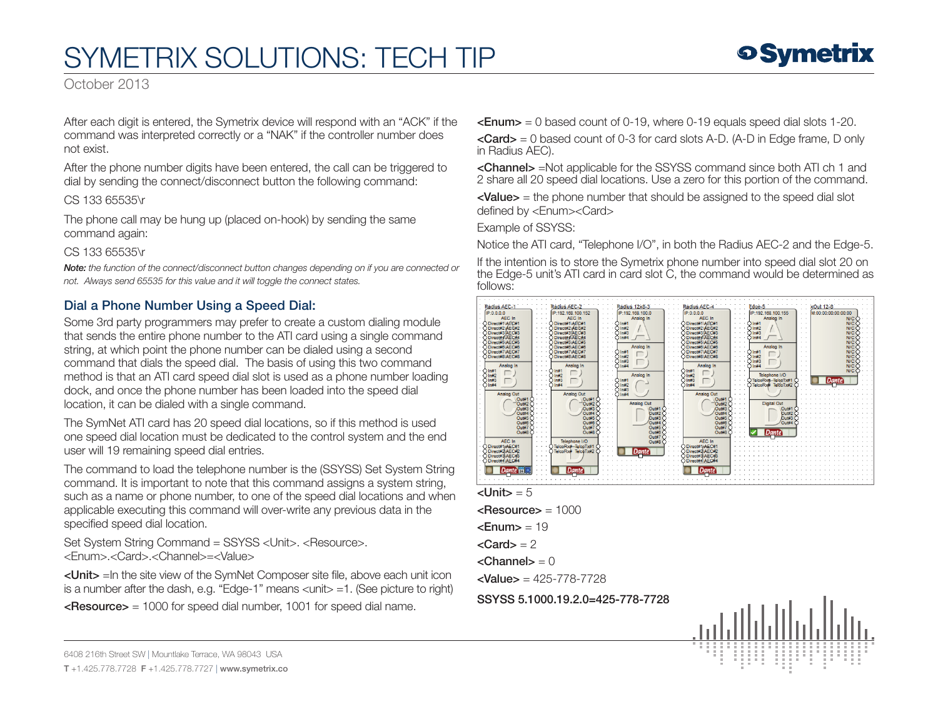October 2013

After each digit is entered, the Symetrix device will respond with an "ACK" if the command was interpreted correctly or a "NAK" if the controller number does not exist.

After the phone number digits have been entered, the call can be triggered to dial by sending the connect/disconnect button the following command:

CS 133 65535\r

The phone call may be hung up (placed on-hook) by sending the same command again:

#### CS 133 65535\r

*Note: the function of the connect/disconnect button changes depending on if you are connected or not. Always send 65535 for this value and it will toggle the connect states.*

### Dial a Phone Number Using a Speed Dial:

Some 3rd party programmers may prefer to create a custom dialing module that sends the entire phone number to the ATI card using a single command string, at which point the phone number can be dialed using a second command that dials the speed dial. The basis of using this two command method is that an ATI card speed dial slot is used as a phone number loading dock, and once the phone number has been loaded into the speed dial location, it can be dialed with a single command.

The SymNet ATI card has 20 speed dial locations, so if this method is used one speed dial location must be dedicated to the control system and the end user will 19 remaining speed dial entries.

The command to load the telephone number is the (SSYSS) Set System String command. It is important to note that this command assigns a system string, such as a name or phone number, to one of the speed dial locations and when applicable executing this command will over-write any previous data in the specified speed dial location.

Set System String Command = SSYSS <Unit>. <Resource>. <Enum>.<Card>.<Channel>=<Value>

<Unit> =In the site view of the SymNet Composer site file, above each unit icon is a number after the dash, e.g. "Edge-1" means <unit> =1. (See picture to right)

 $\epsilon$ Resource $>$  = 1000 for speed dial number, 1001 for speed dial name.

 $\epsilon$  = 0 based count of 0-19, where 0-19 equals speed dial slots 1-20.

 $\langle$  <Card  $\rangle$  = 0 based count of 0-3 for card slots A-D. (A-D in Edge frame, D only in Radius AEC).

<Channel> =Not applicable for the SSYSS command since both ATI ch 1 and 2 share all 20 speed dial locations. Use a zero for this portion of the command.

<Value> = the phone number that should be assigned to the speed dial slot defined by <Enum><Card>

Example of SSYSS:

Notice the ATI card, "Telephone I/O", in both the Radius AEC-2 and the Edge-5.

If the intention is to store the Symetrix phone number into speed dial slot 20 on the Edge-5 unit's ATI card in card slot C, the command would be determined as follows:



 $\mathsf{dUnit}$  = 5

 $<$ Resource $>$  = 1000

 $\epsilon$ Enum $>$  = 19

 $\langle$ Card $\rangle$  = 2

 $<$ Channel $>$  = 0

 $\langle$ Value $\rangle$  = 425-778-7728

SSYSS 5.1000.19.2.0=425-778-7728



6408 216th Street SW | Mountlake Terrace, WA 98043 USA

T +1.425.778.7728 F +1.425.778.7727 | www.symetrix.co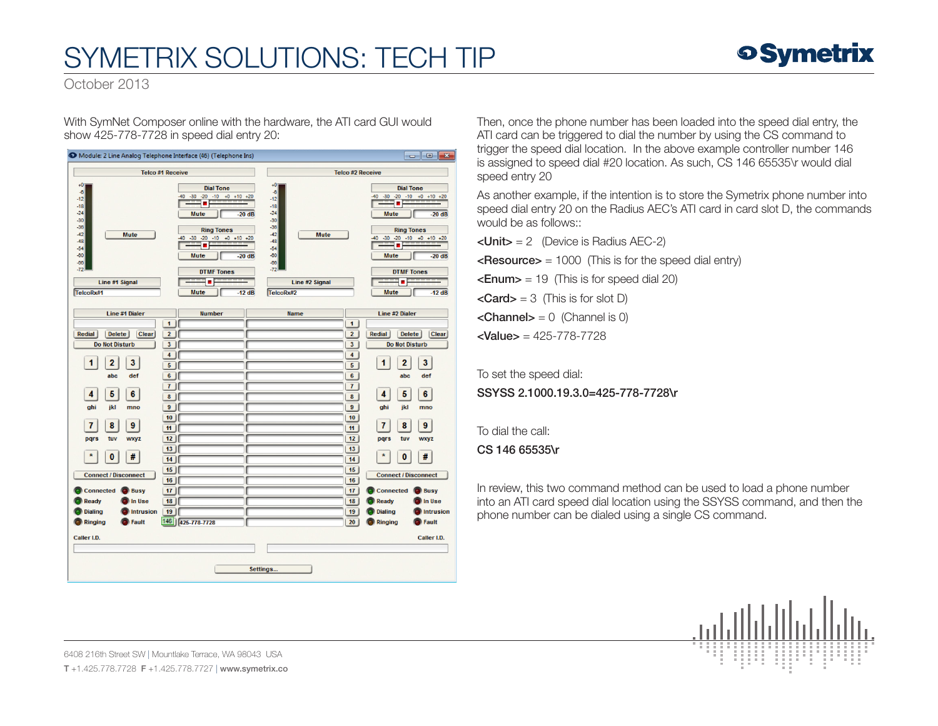

October 2013

With SymNet Composer online with the hardware, the ATI card GUI would show 425-778-7728 in speed dial entry 20:



Then, once the phone number has been loaded into the speed dial entry, the ATI card can be triggered to dial the number by using the CS command to trigger the speed dial location. In the above example controller number 146 is assigned to speed dial #20 location. As such, CS 146 65535\r would dial speed entry 20

As another example, if the intention is to store the Symetrix phone number into speed dial entry 20 on the Radius AEC's ATI card in card slot D, the commands would be as follows::

 $\langle$ Unit $\rangle$  = 2 (Device is Radius AEC-2)

 $\leq$ **Resource** $>$  = 1000 (This is for the speed dial entry)

 $\epsilon$ **Enum>** = 19 (This is for speed dial 20)

 $\langle Card \rangle = 3$  (This is for slot D)

 $\leq$ **Channel>** = 0 (Channel is 0)

 $\langle$ Value $\rangle$  = 425-778-7728

To set the speed dial: SSYSS 2.1000.19.3.0=425-778-7728\r

To dial the call:

CS 146 65535\r

In review, this two command method can be used to load a phone number into an ATI card speed dial location using the SSYSS command, and then the phone number can be dialed using a single CS command.



6408 216th Street SW | Mountlake Terrace, WA 98043 USA T +1.425.778.7728 F +1.425.778.7727 | www.symetrix.co